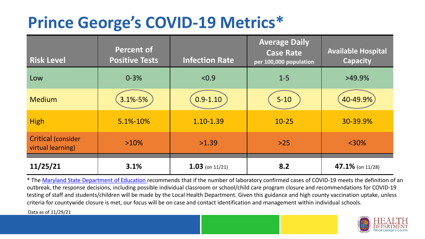## **Prince George's COVID-19 Metrics\***

| <b>Risk Level</b>                       | <b>Percent of</b><br><b>Positive Tests</b> | <b>Infection Rate</b> | <b>Average Daily</b><br><b>Case Rate</b><br>per 100,000 population | <b>Available Hospital</b><br><b>Capacity</b> |
|-----------------------------------------|--------------------------------------------|-----------------------|--------------------------------------------------------------------|----------------------------------------------|
| Low                                     | $0 - 3%$                                   | < 0.9                 | $1 - 5$                                                            | $>49.9\%$                                    |
| <b>Medium</b>                           | 3.1%-5%                                    | $0.9 - 1.10$          | $5 - 10$                                                           | 40-49.9%                                     |
| <b>High</b>                             | 5.1%-10%                                   | 1.10-1.39             | $10 - 25$                                                          | 30-39.9%                                     |
| Critical (consider<br>virtual learning) | $>10\%$                                    | >1.39                 | $>25$                                                              | $<$ 30%                                      |
| 11/25/21                                | 3.1%                                       | $1.03$ (on 11/21)     | 8.2                                                                | 47.1% (on 11/28)                             |

\* The [Maryland State Department of Education r](https://earlychildhood.marylandpublicschools.org/system/files/filedepot/3/covid_guidance_full_080420.pdf)ecommends that if the number of laboratory confirmed cases of COVID-19 meets the definition of an outbreak, the response decisions, including possible individual classroom or school/child care program closure and recommendations for COVID-19 testing of staff and students/children will be made by the Local Health Department. Given this guidance and high county vaccination uptake, unless criteria for countywide closure is met, our focus will be on case and contact identification and management within individual schools.

Data as of 11/29/21

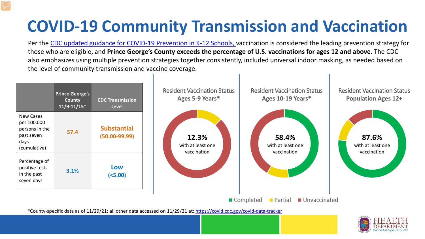# **COVID-19 Community Transmission and Vaccination**

Per the [CDC updated guidance for COVID-19 Prevention in K-12 Schools,](https://www.cdc.gov/coronavirus/2019-ncov/community/schools-childcare/k-12-guidance.html) vaccination is considered the leading prevention strategy for those who are eligible, and **Prince George's County exceeds the percentage of U.S. vaccinations for ages 12 and above**. The CDC also emphasizes using multiple prevention strategies together consistently, included universal indoor masking, as needed based on the level of community transmission and vaccine coverage.



\*County-specific data as of 11/29/21; all other data accessed on 11/29/21 at:<https://covid.cdc.gov/covid-data-tracker>

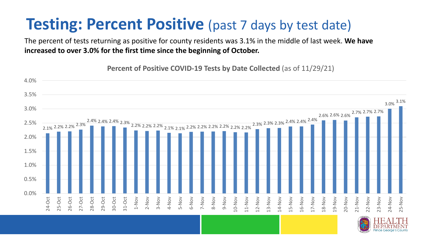### **Testing: Percent Positive** (past 7 days by test date)

The percent of tests returning as positive for county residents was 3.1% in the middle of last week. **We have increased to over 3.0% for the first time since the beginning of October.** 

**Percent of Positive COVID-19 Tests by Date Collected** (as of 11/29/21)

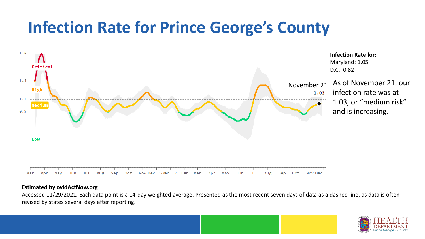### **Infection Rate for Prince George's County**



### **Estimated by ovidActNow.org**

Accessed 11/29/2021. Each data point is a 14-day weighted average. Presented as the most recent seven days of data as a dashed line, as data is often revised by states several days after reporting.

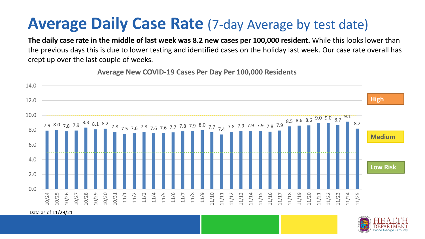### **Average Daily Case Rate** (7-day Average by test date)

**The daily case rate in the middle of last week was 8.2 new cases per 100,000 resident.** While this looks lower than the previous days this is due to lower testing and identified cases on the holiday last week. Our case rate overall has crept up over the last couple of weeks.

**Average New COVID-19 Cases Per Day Per 100,000 Residents**



Data as of 11/29/21